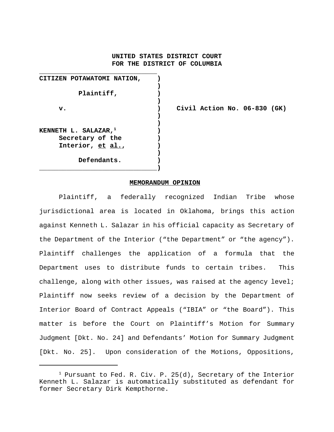## **UNITED STATES DISTRICT COURT FOR THE DISTRICT OF COLUMBIA**

**CITIZEN POTAWATOMI NATION, ) ) Plaintiff, ) ) ) ) KENNETH L. SALAZAR,1 ) Secretary of the )** Interior, et al., (a) **) Defendants. ) \_\_\_\_\_\_\_\_\_\_\_\_\_\_\_\_\_\_\_\_\_\_\_\_\_\_\_\_\_\_)**

**\_\_\_\_\_\_\_\_\_\_\_\_\_\_\_\_\_\_\_\_\_\_\_\_\_\_\_\_\_\_**

**v. ) Civil Action No. 06-830 (GK)**

#### **MEMORANDUM OPINION**

Plaintiff, a federally recognized Indian Tribe whose jurisdictional area is located in Oklahoma, brings this action against Kenneth L. Salazar in his official capacity as Secretary of the Department of the Interior ("the Department" or "the agency"). Plaintiff challenges the application of a formula that the Department uses to distribute funds to certain tribes. This challenge, along with other issues, was raised at the agency level; Plaintiff now seeks review of a decision by the Department of Interior Board of Contract Appeals ("IBIA" or "the Board"). This matter is before the Court on Plaintiff's Motion for Summary Judgment [Dkt. No. 24] and Defendants' Motion for Summary Judgment [Dkt. No. 25]. Upon consideration of the Motions, Oppositions,

<sup>1</sup> Pursuant to Fed. R. Civ. P. 25(d), Secretary of the Interior Kenneth L. Salazar is automatically substituted as defendant for former Secretary Dirk Kempthorne.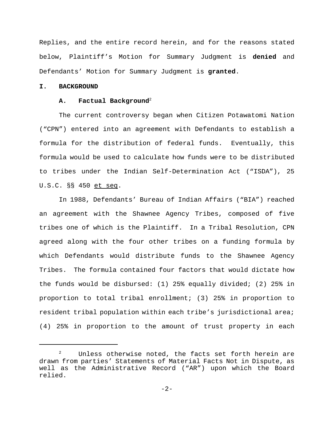Replies, and the entire record herein, and for the reasons stated below, Plaintiff's Motion for Summary Judgment is **denied** and Defendants' Motion for Summary Judgment is **granted**.

#### **I. BACKGROUND**

#### A. Factual Background<sup>2</sup>

The current controversy began when Citizen Potawatomi Nation ("CPN") entered into an agreement with Defendants to establish a formula for the distribution of federal funds. Eventually, this formula would be used to calculate how funds were to be distributed to tribes under the Indian Self-Determination Act ("ISDA"), 25 U.S.C. §§ 450 et seq.

In 1988, Defendants' Bureau of Indian Affairs ("BIA") reached an agreement with the Shawnee Agency Tribes, composed of five tribes one of which is the Plaintiff. In a Tribal Resolution, CPN agreed along with the four other tribes on a funding formula by which Defendants would distribute funds to the Shawnee Agency Tribes. The formula contained four factors that would dictate how the funds would be disbursed: (1) 25% equally divided; (2) 25% in proportion to total tribal enrollment; (3) 25% in proportion to resident tribal population within each tribe's jurisdictional area; (4) 25% in proportion to the amount of trust property in each

<sup>&</sup>lt;sup>2</sup> Unless otherwise noted, the facts set forth herein are drawn from parties' Statements of Material Facts Not in Dispute, as well as the Administrative Record ("AR") upon which the Board relied.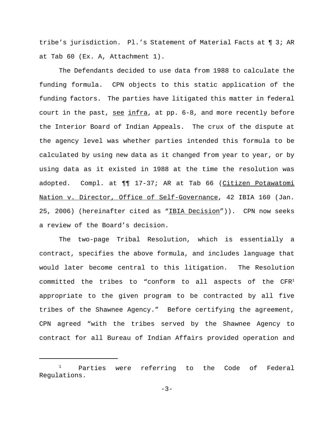tribe's jurisdiction. Pl.'s Statement of Material Facts at ¶ 3; AR at Tab 60 (Ex. A, Attachment 1).

The Defendants decided to use data from 1988 to calculate the funding formula. CPN objects to this static application of the funding factors. The parties have litigated this matter in federal court in the past, see infra, at pp. 6-8, and more recently before the Interior Board of Indian Appeals. The crux of the dispute at the agency level was whether parties intended this formula to be calculated by using new data as it changed from year to year, or by using data as it existed in 1988 at the time the resolution was adopted. Compl. at  $\P\P$  17-37; AR at Tab 66 (Citizen Potawatomi Nation v. Director, Office of Self-Governance, 42 IBIA 160 (Jan. 25, 2006) (hereinafter cited as "IBIA Decision")). CPN now seeks a review of the Board's decision.

The two-page Tribal Resolution, which is essentially a contract, specifies the above formula, and includes language that would later become central to this litigation. The Resolution committed the tribes to "conform to all aspects of the  $CFR<sup>1</sup>$ appropriate to the given program to be contracted by all five tribes of the Shawnee Agency." Before certifying the agreement, CPN agreed "with the tribes served by the Shawnee Agency to contract for all Bureau of Indian Affairs provided operation and

<sup>&</sup>lt;sup>1</sup> Parties were referring to the Code of Federal Regulations.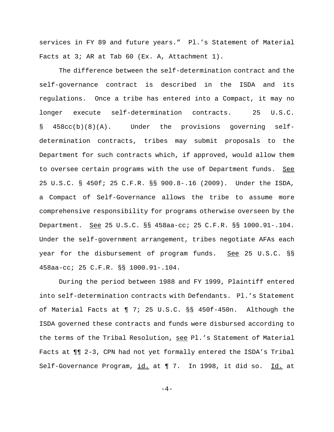services in FY 89 and future years." Pl.'s Statement of Material Facts at 3; AR at Tab 60 (Ex. A, Attachment 1).

The difference between the self-determination contract and the self-governance contract is described in the ISDA and its regulations. Once a tribe has entered into a Compact, it may no longer execute self-determination contracts. 25 U.S.C. § 458cc(b)(8)(A). Under the provisions governing selfdetermination contracts, tribes may submit proposals to the Department for such contracts which, if approved, would allow them to oversee certain programs with the use of Department funds. See 25 U.S.C. § 450f; 25 C.F.R. §§ 900.8-.16 (2009). Under the ISDA, a Compact of Self-Governance allows the tribe to assume more comprehensive responsibility for programs otherwise overseen by the Department. See 25 U.S.C. §§ 458aa-cc; 25 C.F.R. §§ 1000.91-.104. Under the self-government arrangement, tribes negotiate AFAs each year for the disbursement of program funds. See 25 U.S.C. §§ 458aa-cc; 25 C.F.R. §§ 1000.91-.104.

During the period between 1988 and FY 1999, Plaintiff entered into self-determination contracts with Defendants. Pl.'s Statement of Material Facts at ¶ 7; 25 U.S.C. §§ 450f-450n. Although the ISDA governed these contracts and funds were disbursed according to the terms of the Tribal Resolution, see Pl.'s Statement of Material Facts at ¶¶ 2-3, CPN had not yet formally entered the ISDA's Tribal Self-Governance Program, id. at  $\P$  7. In 1998, it did so. Id. at

 $-4-$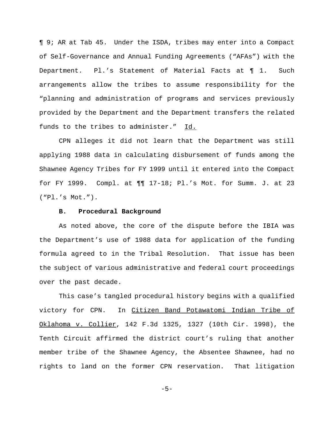¶ 9; AR at Tab 45. Under the ISDA, tribes may enter into a Compact of Self-Governance and Annual Funding Agreements ("AFAs") with the Department. Pl.'s Statement of Material Facts at ¶ 1. Such arrangements allow the tribes to assume responsibility for the "planning and administration of programs and services previously provided by the Department and the Department transfers the related funds to the tribes to administer." Id.

CPN alleges it did not learn that the Department was still applying 1988 data in calculating disbursement of funds among the Shawnee Agency Tribes for FY 1999 until it entered into the Compact for FY 1999. Compl. at ¶¶ 17-18; Pl.'s Mot. for Summ. J. at 23 ("Pl.'s Mot.").

#### **B. Procedural Background**

As noted above, the core of the dispute before the IBIA was the Department's use of 1988 data for application of the funding formula agreed to in the Tribal Resolution. That issue has been the subject of various administrative and federal court proceedings over the past decade.

This case's tangled procedural history begins with a qualified victory for CPN. In Citizen Band Potawatomi Indian Tribe of Oklahoma v. Collier, 142 F.3d 1325, 1327 (10th Cir. 1998), the Tenth Circuit affirmed the district court's ruling that another member tribe of the Shawnee Agency, the Absentee Shawnee, had no rights to land on the former CPN reservation. That litigation

-5-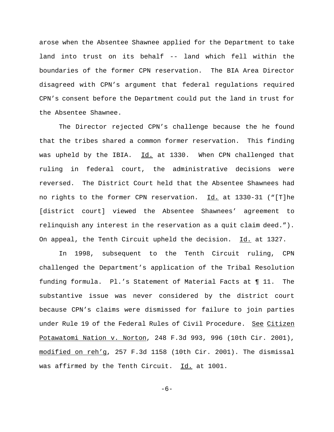arose when the Absentee Shawnee applied for the Department to take land into trust on its behalf -- land which fell within the boundaries of the former CPN reservation. The BIA Area Director disagreed with CPN's argument that federal regulations required CPN's consent before the Department could put the land in trust for the Absentee Shawnee.

The Director rejected CPN's challenge because the he found that the tribes shared a common former reservation. This finding was upheld by the IBIA. Id. at 1330. When CPN challenged that ruling in federal court, the administrative decisions were reversed. The District Court held that the Absentee Shawnees had no rights to the former CPN reservation. Id. at 1330-31 ("[T]he [district court] viewed the Absentee Shawnees' agreement to relinquish any interest in the reservation as a quit claim deed."). On appeal, the Tenth Circuit upheld the decision. Id. at 1327.

In 1998, subsequent to the Tenth Circuit ruling, CPN challenged the Department's application of the Tribal Resolution funding formula. Pl.'s Statement of Material Facts at ¶ 11. The substantive issue was never considered by the district court because CPN's claims were dismissed for failure to join parties under Rule 19 of the Federal Rules of Civil Procedure. See Citizen Potawatomi Nation v. Norton, 248 F.3d 993, 996 (10th Cir. 2001), modified on reh'g, 257 F.3d 1158 (10th Cir. 2001). The dismissal was affirmed by the Tenth Circuit. Id. at 1001.

-6-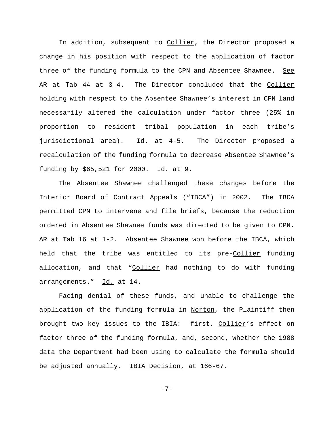In addition, subsequent to Collier, the Director proposed a change in his position with respect to the application of factor three of the funding formula to the CPN and Absentee Shawnee. See AR at Tab 44 at 3-4. The Director concluded that the Collier holding with respect to the Absentee Shawnee's interest in CPN land necessarily altered the calculation under factor three (25% in proportion to resident tribal population in each tribe's jurisdictional area). Id. at 4-5. The Director proposed a recalculation of the funding formula to decrease Absentee Shawnee's funding by \$65,521 for 2000. Id. at 9.

The Absentee Shawnee challenged these changes before the Interior Board of Contract Appeals ("IBCA") in 2002. The IBCA permitted CPN to intervene and file briefs, because the reduction ordered in Absentee Shawnee funds was directed to be given to CPN. AR at Tab 16 at 1-2. Absentee Shawnee won before the IBCA, which held that the tribe was entitled to its pre-Collier funding allocation, and that "Collier had nothing to do with funding arrangements." Id. at 14.

Facing denial of these funds, and unable to challenge the application of the funding formula in Norton, the Plaintiff then brought two key issues to the IBIA: first, Collier's effect on factor three of the funding formula, and, second, whether the 1988 data the Department had been using to calculate the formula should be adjusted annually. IBIA Decision, at 166-67.

$$
-\,7\,-
$$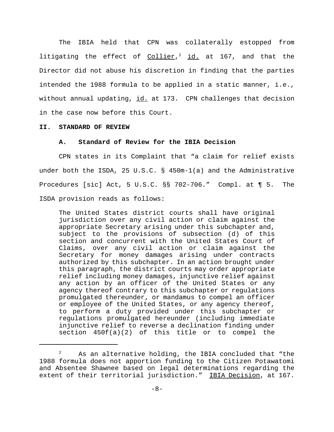The IBIA held that CPN was collaterally estopped from litigating the effect of Collier,<sup>2</sup> id. at 167, and that the Director did not abuse his discretion in finding that the parties intended the 1988 formula to be applied in a static manner, i.e., without annual updating, id. at 173. CPN challenges that decision in the case now before this Court.

#### **II. STANDARD OF REVIEW**

## **A. Standard of Review for the IBIA Decision**

CPN states in its Complaint that "a claim for relief exists under both the ISDA, 25 U.S.C. § 450m-1(a) and the Administrative Procedures [sic] Act, 5 U.S.C. §§ 702-706." Compl. at ¶ 5. The ISDA provision reads as follows:

The United States district courts shall have original jurisdiction over any civil action or claim against the appropriate Secretary arising under this subchapter and, subject to the provisions of subsection (d) of this section and concurrent with the United States Court of Claims, over any civil action or claim against the Secretary for money damages arising under contracts authorized by this subchapter. In an action brought under this paragraph, the district courts may order appropriate relief including money damages, injunctive relief against any action by an officer of the United States or any agency thereof contrary to this subchapter or regulations promulgated thereunder, or mandamus to compel an officer or employee of the United States, or any agency thereof, to perform a duty provided under this subchapter or regulations promulgated hereunder (including immediate injunctive relief to reverse a declination finding under section 450f(a)(2) of this title or to compel the

 $2^2$  As an alternative holding, the IBIA concluded that "the 1988 formula does not apportion funding to the Citizen Potawatomi and Absentee Shawnee based on legal determinations regarding the extent of their territorial jurisdiction." IBIA Decision, at 167.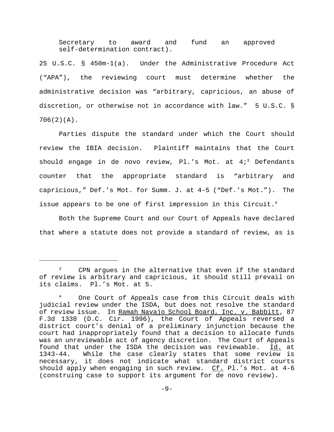Secretary to award and fund an approved self-determination contract).

25 U.S.C. § 450m-1(a). Under the Administrative Procedure Act ("APA"), the reviewing court must determine whether the administrative decision was "arbitrary, capricious, an abuse of discretion, or otherwise not in accordance with law." 5 U.S.C. § 706(2)(A).

Parties dispute the standard under which the Court should review the IBIA decision. Plaintiff maintains that the Court should engage in de novo review, Pl.'s Mot. at  $4i<sup>3</sup>$  Defendants counter that the appropriate standard is "arbitrary and capricious," Def.'s Mot. for Summ. J. at 4-5 ("Def.'s Mot."). The issue appears to be one of first impression in this Circuit.<sup>4</sup>

Both the Supreme Court and our Court of Appeals have declared that where a statute does not provide a standard of review, as is

<sup>&</sup>lt;sup>3</sup> CPN argues in the alternative that even if the standard of review is arbitrary and capricious, it should still prevail on its claims. Pl.'s Mot. at 5.

One Court of Appeals case from this Circuit deals with judicial review under the ISDA, but does not resolve the standard of review issue. In Ramah Navajo School Board, Inc. v. Babbitt, 87 F.3d 1338 (D.C. Cir. 1996), the Court of Appeals reversed a district court's denial of a preliminary injunction because the court had inappropriately found that a decision to allocate funds was an unreviewable act of agency discretion. The Court of Appeals found that under the ISDA the decision was reviewable. Id. at 1343-44. While the case clearly states that some review is necessary, it does not indicate what standard district courts should apply when engaging in such review.  $Cf$ . Pl.'s Mot. at  $4-6$ (construing case to support its argument for de novo review).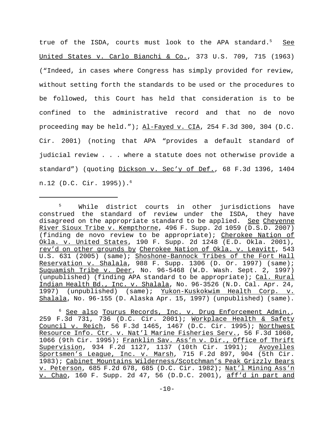true of the ISDA, courts must look to the APA standard. $5$  See United States v. Carlo Bianchi & Co., 373 U.S. 709, 715 (1963) ("Indeed, in cases where Congress has simply provided for review, without setting forth the standards to be used or the procedures to be followed, this Court has held that consideration is to be confined to the administrative record and that no de novo proceeding may be held.");  $AL-Fayed v. CIA, 254 F.3d 300, 304 (D.C.$ Cir. 2001) (noting that APA "provides a default standard of judicial review . . . where a statute does not otherwise provide a standard") (quoting Dickson v. Sec'y of Def., 68 F.3d 1396, 1404 n.12 (D.C. Cir. 1995)).6

<sup>&</sup>lt;sup>5</sup> While district courts in other jurisdictions have construed the standard of review under the ISDA, they have disagreed on the appropriate standard to be applied. See Cheyenne River Sioux Tribe v. Kempthorne, 496 F. Supp. 2d 1059 (D.S.D. 2007) (finding de novo review to be appropriate); Cherokee Nation of Okla. v. United States, 190 F. Supp. 2d 1248 (E.D. Okla. 2001), rev'd on other grounds by Cherokee Nation of Okla. v. Leavitt, 543 U.S. 631 (2005) (same); Shoshone-Bannock Tribes of the Fort Hall Reservation v. Shalala, 988 F. Supp. 1306 (D. Or. 1997) (same); Suquamish Tribe v. Deer, No. 96-5468 (W.D. Wash. Sept. 2, 1997) (unpublished) (finding APA standard to be appropriate); Cal. Rural Indian Health Bd., Inc. v. Shalala, No. 96-3526 (N.D. Cal. Apr. 24, 1997) (unpublished) (same); Yukon-Kuskokwim Health Corp. v. Shalala, No. 96-155 (D. Alaska Apr. 15, 1997) (unpublished) (same).

 $6$  See also Tourus Records, Inc. v. Drug Enforcement Admin., 259 F.3d 731, 736 (D.C. Cir. 2001); Workplace Health & Safety Council v. Reich, 56 F.3d 1465, 1467 (D.C. Cir. 1995); Northwest Resource Info. Ctr. v. Nat'l Marine Fisheries Serv., 56 F.3d 1060, 1066 (9th Cir. 1995); Franklin Sav. Ass'n v. Dir., Office of Thrift Supervision, 934 F.2d 1127, 1137 (10th Cir. 1991); Avoyelles Sportsmen's League, Inc. v. Marsh, 715 F.2d 897, 904 (5th Cir. 1983); Cabinet Mountains Wilderness/Scotchman's Peak Grizzly Bears v. Peterson, 685 F.2d 678, 685 (D.C. Cir. 1982); Nat'l Mining Ass'n v. Chao, 160 F. Supp. 2d 47, 56 (D.D.C. 2001), aff'd in part and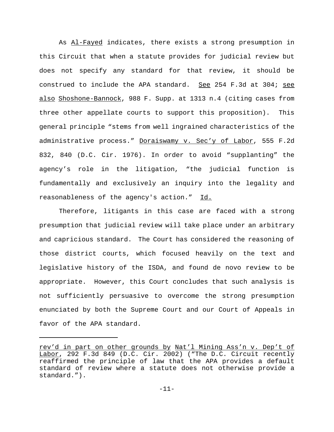As Al-Fayed indicates, there exists a strong presumption in this Circuit that when a statute provides for judicial review but does not specify any standard for that review, it should be construed to include the APA standard. See 254 F.3d at 304; see also Shoshone-Bannock, 988 F. Supp. at 1313 n.4 (citing cases from three other appellate courts to support this proposition). This general principle "stems from well ingrained characteristics of the administrative process." Doraiswamy v. Sec'y of Labor, 555 F.2d 832, 840 (D.C. Cir. 1976). In order to avoid "supplanting" the agency's role in the litigation, "the judicial function is fundamentally and exclusively an inquiry into the legality and reasonableness of the agency's action." Id.

Therefore, litigants in this case are faced with a strong presumption that judicial review will take place under an arbitrary and capricious standard. The Court has considered the reasoning of those district courts, which focused heavily on the text and legislative history of the ISDA, and found de novo review to be appropriate. However, this Court concludes that such analysis is not sufficiently persuasive to overcome the strong presumption enunciated by both the Supreme Court and our Court of Appeals in favor of the APA standard.

rev'd in part on other grounds by Nat'l Mining Ass'n v. Dep't of Labor, 292 F.3d 849 (D.C. Cir. 2002) ("The D.C. Circuit recently reaffirmed the principle of law that the APA provides a default standard of review where a statute does not otherwise provide a standard.").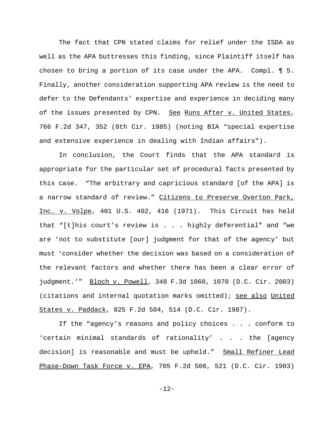The fact that CPN stated claims for relief under the ISDA as well as the APA buttresses this finding, since Plaintiff itself has chosen to bring a portion of its case under the APA. Compl. ¶ 5. Finally, another consideration supporting APA review is the need to defer to the Defendants' expertise and experience in deciding many of the issues presented by CPN. See Runs After v. United States, 766 F.2d 347, 352 (8th Cir. 1985) (noting BIA "special expertise and extensive experience in dealing with Indian affairs").

In conclusion, the Court finds that the APA standard is appropriate for the particular set of procedural facts presented by this case. "The arbitrary and capricious standard [of the APA] is a narrow standard of review." Citizens to Preserve Overton Park, Inc. v. Volpe, 401 U.S. 402, 416 (1971). This Circuit has held that "[t]his court's review is . . . highly deferential" and "we are 'not to substitute [our] judgment for that of the agency' but must 'consider whether the decision was based on a consideration of the relevant factors and whether there has been a clear error of judgment.'" Bloch v. Powell, 348 F.3d 1060, 1070 (D.C. Cir. 2003) (citations and internal quotation marks omitted); see also United States v. Paddack, 825 F.2d 504, 514 (D.C. Cir. 1987).

If the "agency's reasons and policy choices . . . conform to 'certain minimal standards of rationality' . . . the [agency decision] is reasonable and must be upheld." Small Refiner Lead Phase-Down Task Force v. EPA, 705 F.2d 506, 521 (D.C. Cir. 1983)

-12-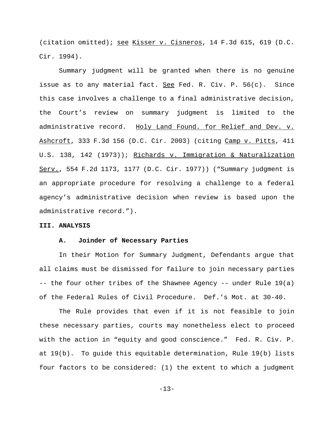(citation omitted); see Kisser v. Cisneros, 14 F.3d 615, 619 (D.C. Cir. 1994).

Summary judgment will be granted when there is no genuine issue as to any material fact. See Fed. R. Civ. P. 56(c). Since this case involves a challenge to a final administrative decision, the Court's review on summary judgment is limited to the administrative record. Holy Land Found. for Relief and Dev. v. Ashcroft, 333 F.3d 156 (D.C. Cir. 2003) (citing Camp v. Pitts, 411 U.S. 138, 142 (1973)); Richards v. Immigration & Naturalization Serv., 554 F.2d 1173, 1177 (D.C. Cir. 1977)) ("Summary judgment is an appropriate procedure for resolving a challenge to a federal agency's administrative decision when review is based upon the administrative record.").

# **III. ANALYSIS**

#### **A. Joinder of Necessary Parties**

In their Motion for Summary Judgment, Defendants argue that all claims must be dismissed for failure to join necessary parties  $--$  the four other tribes of the Shawnee Agency  $--$  under Rule 19(a) of the Federal Rules of Civil Procedure. Def.'s Mot. at 30-40.

 The Rule provides that even if it is not feasible to join these necessary parties, courts may nonetheless elect to proceed with the action in "equity and good conscience." Fed. R. Civ. P. at 19(b). To guide this equitable determination, Rule 19(b) lists four factors to be considered: (1) the extent to which a judgment

-13-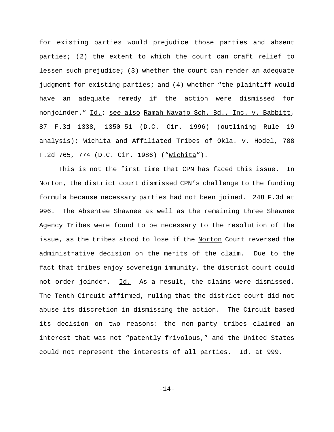for existing parties would prejudice those parties and absent parties; (2) the extent to which the court can craft relief to lessen such prejudice; (3) whether the court can render an adequate judgment for existing parties; and (4) whether "the plaintiff would have an adequate remedy if the action were dismissed for nonjoinder." Id.; see also Ramah Navajo Sch. Bd., Inc. v. Babbitt, 87 F.3d 1338, 1350-51 (D.C. Cir. 1996) (outlining Rule 19 analysis); Wichita and Affiliated Tribes of Okla. v. Hodel, 788 F.2d 765, 774 (D.C. Cir. 1986) ("Wichita").

This is not the first time that CPN has faced this issue. In Norton, the district court dismissed CPN's challenge to the funding formula because necessary parties had not been joined. 248 F.3d at 996. The Absentee Shawnee as well as the remaining three Shawnee Agency Tribes were found to be necessary to the resolution of the issue, as the tribes stood to lose if the Norton Court reversed the administrative decision on the merits of the claim. Due to the fact that tribes enjoy sovereign immunity, the district court could not order joinder. Id. As a result, the claims were dismissed. The Tenth Circuit affirmed, ruling that the district court did not abuse its discretion in dismissing the action. The Circuit based its decision on two reasons: the non-party tribes claimed an interest that was not "patently frivolous," and the United States could not represent the interests of all parties. Id. at 999.

-14-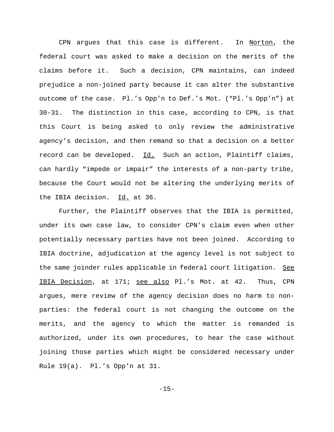CPN argues that this case is different. In Norton, the federal court was asked to make a decision on the merits of the claims before it. Such a decision, CPN maintains, can indeed prejudice a non-joined party because it can alter the substantive outcome of the case. Pl.'s Opp'n to Def.'s Mot. ("Pl.'s Opp'n") at 30-31. The distinction in this case, according to CPN, is that this Court is being asked to only review the administrative agency's decision, and then remand so that a decision on a better record can be developed. Id. Such an action, Plaintiff claims, can hardly "impede or impair" the interests of a non-party tribe, because the Court would not be altering the underlying merits of the IBIA decision. Id. at 36.

Further, the Plaintiff observes that the IBIA is permitted, under its own case law, to consider CPN's claim even when other potentially necessary parties have not been joined. According to IBIA doctrine, adjudication at the agency level is not subject to the same joinder rules applicable in federal court litigation. See IBIA Decision, at 171; see also Pl.'s Mot. at 42. Thus, CPN argues, mere review of the agency decision does no harm to nonparties: the federal court is not changing the outcome on the merits, and the agency to which the matter is remanded is authorized, under its own procedures, to hear the case without joining those parties which might be considered necessary under Rule 19(a). Pl.'s Opp'n at 31.

-15-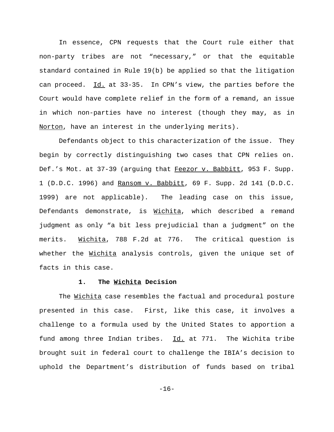In essence, CPN requests that the Court rule either that non-party tribes are not "necessary," or that the equitable standard contained in Rule 19(b) be applied so that the litigation can proceed. Id. at 33-35. In CPN's view, the parties before the Court would have complete relief in the form of a remand, an issue in which non-parties have no interest (though they may, as in Norton, have an interest in the underlying merits).

Defendants object to this characterization of the issue. They begin by correctly distinguishing two cases that CPN relies on. Def.'s Mot. at 37-39 (arguing that Feezor v. Babbitt, 953 F. Supp. 1 (D.D.C. 1996) and Ransom v. Babbitt, 69 F. Supp. 2d 141 (D.D.C. 1999) are not applicable). The leading case on this issue, Defendants demonstrate, is Wichita, which described a remand judgment as only "a bit less prejudicial than a judgment" on the merits. Wichita, 788 F.2d at 776. The critical question is whether the **Wichita** analysis controls, given the unique set of facts in this case.

### **1. The Wichita Decision**

The **Wichita** case resembles the factual and procedural posture presented in this case. First, like this case, it involves a challenge to a formula used by the United States to apportion a fund among three Indian tribes. Id. at 771. The Wichita tribe brought suit in federal court to challenge the IBIA's decision to uphold the Department's distribution of funds based on tribal

-16-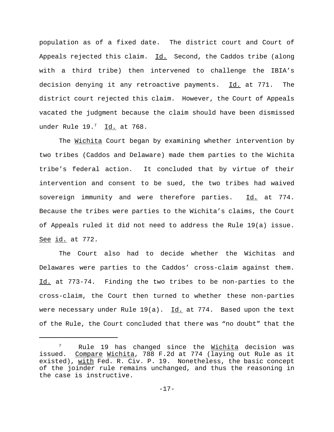population as of a fixed date. The district court and Court of Appeals rejected this claim. Id. Second, the Caddos tribe (along with a third tribe) then intervened to challenge the IBIA's decision denying it any retroactive payments. Id. at 771. The district court rejected this claim. However, the Court of Appeals vacated the judgment because the claim should have been dismissed under Rule 19.<sup>7</sup> Id. at 768.

The <u>Wichita</u> Court began by examining whether intervention by two tribes (Caddos and Delaware) made them parties to the Wichita tribe's federal action. It concluded that by virtue of their intervention and consent to be sued, the two tribes had waived sovereign immunity and were therefore parties. Id. at 774. Because the tribes were parties to the Wichita's claims, the Court of Appeals ruled it did not need to address the Rule 19(a) issue. See id. at 772.

The Court also had to decide whether the Wichitas and Delawares were parties to the Caddos' cross-claim against them. Id. at 773-74. Finding the two tribes to be non-parties to the cross-claim, the Court then turned to whether these non-parties were necessary under Rule 19(a). Id. at 774. Based upon the text of the Rule, the Court concluded that there was "no doubt" that the

<sup>&</sup>lt;sup>7</sup> Rule 19 has changed since the Wichita decision was issued. Compare Wichita, 788 F.2d at 774 (laying out Rule as it existed), with Fed. R. Civ. P. 19. Nonetheless, the basic concept of the joinder rule remains unchanged, and thus the reasoning in the case is instructive.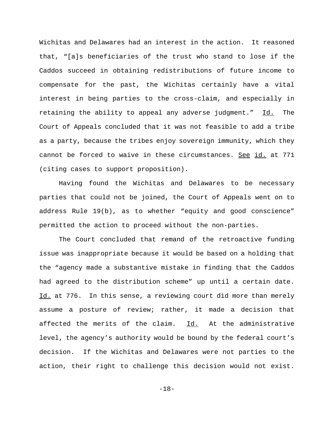Wichitas and Delawares had an interest in the action. It reasoned that, "[a]s beneficiaries of the trust who stand to lose if the Caddos succeed in obtaining redistributions of future income to compensate for the past, the Wichitas certainly have a vital interest in being parties to the cross-claim, and especially in retaining the ability to appeal any adverse judgment." Id. The Court of Appeals concluded that it was not feasible to add a tribe as a party, because the tribes enjoy sovereign immunity, which they cannot be forced to waive in these circumstances. See id. at 771 (citing cases to support proposition).

Having found the Wichitas and Delawares to be necessary parties that could not be joined, the Court of Appeals went on to address Rule 19(b), as to whether "equity and good conscience" permitted the action to proceed without the non-parties.

The Court concluded that remand of the retroactive funding issue was inappropriate because it would be based on a holding that the "agency made a substantive mistake in finding that the Caddos had agreed to the distribution scheme" up until a certain date. Id. at 776. In this sense, a reviewing court did more than merely assume a posture of review; rather, it made a decision that affected the merits of the claim. Id. At the administrative level, the agency's authority would be bound by the federal court's decision. If the Wichitas and Delawares were not parties to the action, their right to challenge this decision would not exist.

-18-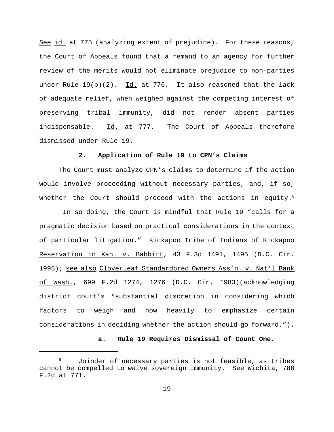See id. at 775 (analyzing extent of prejudice). For these reasons, the Court of Appeals found that a remand to an agency for further review of the merits would not eliminate prejudice to non-parties under Rule  $19(b)(2)$ . Id. at 776. It also reasoned that the lack of adequate relief, when weighed against the competing interest of preserving tribal immunity, did not render absent parties indispensable. Id. at 777. The Court of Appeals therefore dismissed under Rule 19.

## **2. Application of Rule 19 to CPN's Claims**

The Court must analyze CPN's claims to determine if the action would involve proceeding without necessary parties, and, if so, whether the Court should proceed with the actions in equity.<sup>8</sup>

 In so doing, the Court is mindful that Rule 19 "calls for a pragmatic decision based on practical considerations in the context of particular litigation." Kickapoo Tribe of Indians of Kickapoo Reservation in Kan. v. Babbitt, 43 F.3d 1491, 1495 (D.C. Cir. 1995); see also Cloverleaf Standardbred Owners Ass'n. v. Nat'l Bank of Wash., 699 F.2d 1274, 1276 (D.C. Cir. 1983)(acknowledging district court's "substantial discretion in considering which factors to weigh and how heavily to emphasize certain considerations in deciding whether the action should go forward.").

# **a. Rule 19 Requires Dismissal of Count One.**

Joinder of necessary parties is not feasible, as tribes cannot be compelled to waive sovereign immunity. See Wichita, 788 F.2d at 771.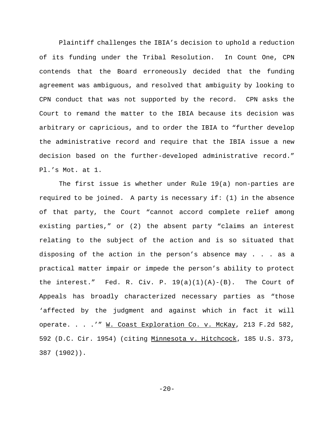Plaintiff challenges the IBIA's decision to uphold a reduction of its funding under the Tribal Resolution. In Count One, CPN contends that the Board erroneously decided that the funding agreement was ambiguous, and resolved that ambiguity by looking to CPN conduct that was not supported by the record. CPN asks the Court to remand the matter to the IBIA because its decision was arbitrary or capricious, and to order the IBIA to "further develop the administrative record and require that the IBIA issue a new decision based on the further-developed administrative record." Pl.'s Mot. at 1.

The first issue is whether under Rule 19(a) non-parties are required to be joined. A party is necessary if: (1) in the absence of that party, the Court "cannot accord complete relief among existing parties," or (2) the absent party "claims an interest relating to the subject of the action and is so situated that disposing of the action in the person's absence may . . . as a practical matter impair or impede the person's ability to protect the interest." Fed. R. Civ. P.  $19(a)(1)(A)-(B)$ . The Court of Appeals has broadly characterized necessary parties as "those 'affected by the judgment and against which in fact it will operate. . . .'" W. Coast Exploration Co. v. McKay, 213 F.2d 582, 592 (D.C. Cir. 1954) (citing Minnesota v. Hitchcock, 185 U.S. 373, 387 (1902)).

 $-20-$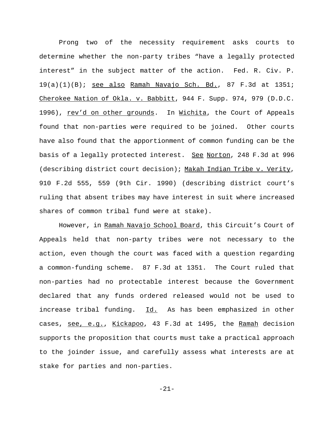Prong two of the necessity requirement asks courts to determine whether the non-party tribes "have a legally protected interest" in the subject matter of the action. Fed. R. Civ. P.  $19(a)(1)(B)$ ; see also Ramah Navajo Sch. Bd., 87 F.3d at 1351; Cherokee Nation of Okla. v. Babbitt, 944 F. Supp. 974, 979 (D.D.C. 1996), rev'd on other grounds. In Wichita, the Court of Appeals found that non-parties were required to be joined. Other courts have also found that the apportionment of common funding can be the basis of a legally protected interest. See Norton, 248 F.3d at 996 (describing district court decision); Makah Indian Tribe v. Verity, 910 F.2d 555, 559 (9th Cir. 1990) (describing district court's ruling that absent tribes may have interest in suit where increased shares of common tribal fund were at stake).

However, in Ramah Navajo School Board, this Circuit's Court of Appeals held that non-party tribes were not necessary to the action, even though the court was faced with a question regarding a common-funding scheme. 87 F.3d at 1351. The Court ruled that non-parties had no protectable interest because the Government declared that any funds ordered released would not be used to increase tribal funding. Id. As has been emphasized in other cases, see, e.g., Kickapoo, 43 F.3d at 1495, the Ramah decision supports the proposition that courts must take a practical approach to the joinder issue, and carefully assess what interests are at stake for parties and non-parties.

-21-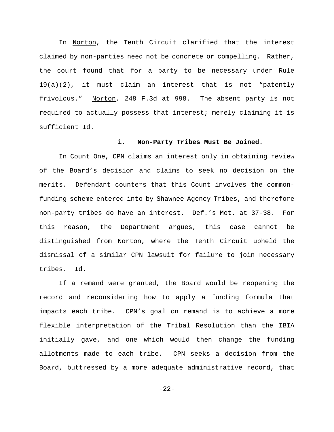In Norton, the Tenth Circuit clarified that the interest claimed by non-parties need not be concrete or compelling. Rather, the court found that for a party to be necessary under Rule 19(a)(2), it must claim an interest that is not "patently frivolous." Norton, 248 F.3d at 998. The absent party is not required to actually possess that interest; merely claiming it is sufficient Id.

#### **i. Non-Party Tribes Must Be Joined.**

In Count One, CPN claims an interest only in obtaining review of the Board's decision and claims to seek no decision on the merits. Defendant counters that this Count involves the commonfunding scheme entered into by Shawnee Agency Tribes, and therefore non-party tribes do have an interest. Def.'s Mot. at 37-38. For this reason, the Department argues, this case cannot be distinguished from Norton, where the Tenth Circuit upheld the dismissal of a similar CPN lawsuit for failure to join necessary tribes. Id.

If a remand were granted, the Board would be reopening the record and reconsidering how to apply a funding formula that impacts each tribe. CPN's goal on remand is to achieve a more flexible interpretation of the Tribal Resolution than the IBIA initially gave, and one which would then change the funding allotments made to each tribe. CPN seeks a decision from the Board, buttressed by a more adequate administrative record, that

-22-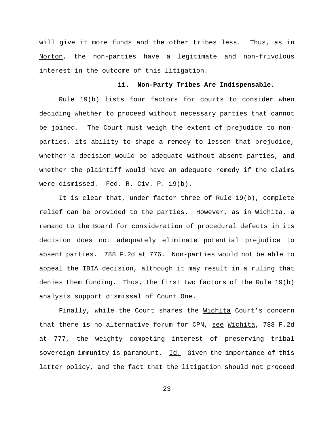will give it more funds and the other tribes less. Thus, as in Norton, the non-parties have a legitimate and non-frivolous interest in the outcome of this litigation.

### **ii. Non-Party Tribes Are Indispensable.**

Rule 19(b) lists four factors for courts to consider when deciding whether to proceed without necessary parties that cannot be joined. The Court must weigh the extent of prejudice to nonparties, its ability to shape a remedy to lessen that prejudice, whether a decision would be adequate without absent parties, and whether the plaintiff would have an adequate remedy if the claims were dismissed. Fed. R. Civ. P. 19(b).

It is clear that, under factor three of Rule 19(b), complete relief can be provided to the parties. However, as in Wichita, a remand to the Board for consideration of procedural defects in its decision does not adequately eliminate potential prejudice to absent parties. 788 F.2d at 776. Non-parties would not be able to appeal the IBIA decision, although it may result in a ruling that denies them funding. Thus, the first two factors of the Rule 19(b) analysis support dismissal of Count One.

Finally, while the Court shares the Wichita Court's concern that there is no alternative forum for CPN, see Wichita, 788 F.2d at 777, the weighty competing interest of preserving tribal sovereign immunity is paramount.  $\underline{Id.}$  Given the importance of this latter policy, and the fact that the litigation should not proceed

-23-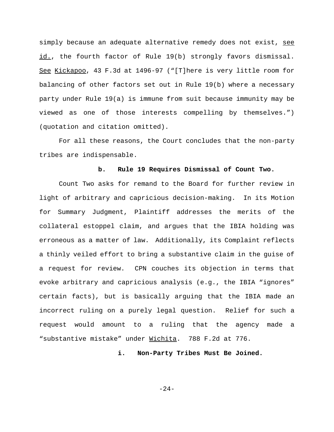simply because an adequate alternative remedy does not exist, see id., the fourth factor of Rule 19(b) strongly favors dismissal. See Kickapoo, 43 F.3d at 1496-97 ("[T]here is very little room for balancing of other factors set out in Rule 19(b) where a necessary party under Rule 19(a) is immune from suit because immunity may be viewed as one of those interests compelling by themselves.") (quotation and citation omitted).

For all these reasons, the Court concludes that the non-party tribes are indispensable.

### **b. Rule 19 Requires Dismissal of Count Two.**

Count Two asks for remand to the Board for further review in light of arbitrary and capricious decision-making. In its Motion for Summary Judgment, Plaintiff addresses the merits of the collateral estoppel claim, and argues that the IBIA holding was erroneous as a matter of law. Additionally, its Complaint reflects a thinly veiled effort to bring a substantive claim in the guise of a request for review. CPN couches its objection in terms that evoke arbitrary and capricious analysis (e.g., the IBIA "ignores" certain facts), but is basically arguing that the IBIA made an incorrect ruling on a purely legal question. Relief for such a request would amount to a ruling that the agency made a "substantive mistake" under Wichita. 788 F.2d at 776.

**i. Non-Party Tribes Must Be Joined.**

-24-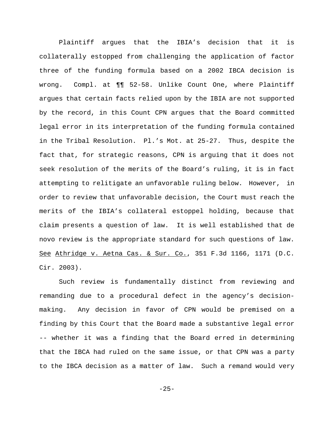Plaintiff argues that the IBIA's decision that it is collaterally estopped from challenging the application of factor three of the funding formula based on a 2002 IBCA decision is wrong. Compl. at ¶¶ 52-58. Unlike Count One, where Plaintiff argues that certain facts relied upon by the IBIA are not supported by the record, in this Count CPN argues that the Board committed legal error in its interpretation of the funding formula contained in the Tribal Resolution. Pl.'s Mot. at 25-27. Thus, despite the fact that, for strategic reasons, CPN is arguing that it does not seek resolution of the merits of the Board's ruling, it is in fact attempting to relitigate an unfavorable ruling below. However, in order to review that unfavorable decision, the Court must reach the merits of the IBIA's collateral estoppel holding, because that claim presents a question of law. It is well established that de novo review is the appropriate standard for such questions of law. See Athridge v. Aetna Cas. & Sur. Co., 351 F.3d 1166, 1171 (D.C. Cir. 2003).

Such review is fundamentally distinct from reviewing and remanding due to a procedural defect in the agency's decisionmaking. Any decision in favor of CPN would be premised on a finding by this Court that the Board made a substantive legal error -- whether it was a finding that the Board erred in determining that the IBCA had ruled on the same issue, or that CPN was a party to the IBCA decision as a matter of law. Such a remand would very

-25-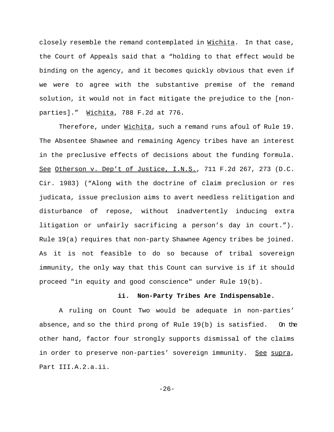closely resemble the remand contemplated in Wichita. In that case, the Court of Appeals said that a "holding to that effect would be binding on the agency, and it becomes quickly obvious that even if we were to agree with the substantive premise of the remand solution, it would not in fact mitigate the prejudice to the [nonparties]." Wichita, 788 F.2d at 776.

Therefore, under Wichita, such a remand runs afoul of Rule 19. The Absentee Shawnee and remaining Agency tribes have an interest in the preclusive effects of decisions about the funding formula. See Otherson v. Dep't of Justice, I.N.S., 711 F.2d 267, 273 (D.C. Cir. 1983) ("Along with the doctrine of claim preclusion or res judicata, issue preclusion aims to avert needless relitigation and disturbance of repose, without inadvertently inducing extra litigation or unfairly sacrificing a person's day in court."). Rule 19(a) requires that non-party Shawnee Agency tribes be joined. As it is not feasible to do so because of tribal sovereign immunity, the only way that this Count can survive is if it should proceed "in equity and good conscience" under Rule 19(b).

## **ii. Non-Party Tribes Are Indispensable.**

A ruling on Count Two would be adequate in non-parties' absence, and so the third prong of Rule 19(b) is satisfied. On the other hand, factor four strongly supports dismissal of the claims in order to preserve non-parties' sovereign immunity. See supra, Part III.A.2.a.ii.

-26-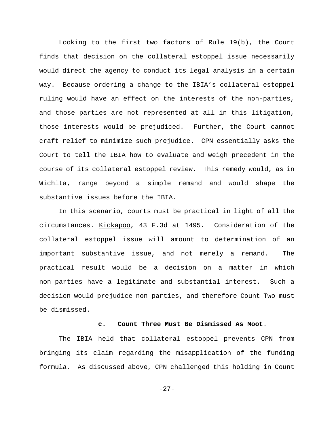Looking to the first two factors of Rule 19(b), the Court finds that decision on the collateral estoppel issue necessarily would direct the agency to conduct its legal analysis in a certain way. Because ordering a change to the IBIA's collateral estoppel ruling would have an effect on the interests of the non-parties, and those parties are not represented at all in this litigation, those interests would be prejudiced. Further, the Court cannot craft relief to minimize such prejudice. CPN essentially asks the Court to tell the IBIA how to evaluate and weigh precedent in the course of its collateral estoppel review. This remedy would, as in Wichita, range beyond a simple remand and would shape the substantive issues before the IBIA.

In this scenario, courts must be practical in light of all the circumstances. Kickapoo, 43 F.3d at 1495. Consideration of the collateral estoppel issue will amount to determination of an important substantive issue, and not merely a remand. The practical result would be a decision on a matter in which non-parties have a legitimate and substantial interest. Such a decision would prejudice non-parties, and therefore Count Two must be dismissed.

### **c. Count Three Must Be Dismissed As Moot**.

The IBIA held that collateral estoppel prevents CPN from bringing its claim regarding the misapplication of the funding formula. As discussed above, CPN challenged this holding in Count

-27-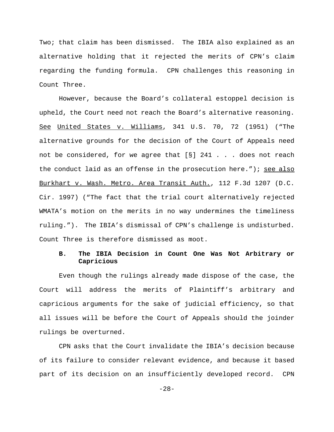Two; that claim has been dismissed. The IBIA also explained as an alternative holding that it rejected the merits of CPN's claim regarding the funding formula. CPN challenges this reasoning in Count Three.

However, because the Board's collateral estoppel decision is upheld, the Court need not reach the Board's alternative reasoning. See United States v. Williams, 341 U.S. 70, 72 (1951) ("The alternative grounds for the decision of the Court of Appeals need not be considered, for we agree that [§] 241 . . . does not reach the conduct laid as an offense in the prosecution here."); see also Burkhart v. Wash. Metro. Area Transit Auth., 112 F.3d 1207 (D.C. Cir. 1997) ("The fact that the trial court alternatively rejected WMATA's motion on the merits in no way undermines the timeliness ruling."). The IBIA's dismissal of CPN's challenge is undisturbed. Count Three is therefore dismissed as moot.

# **B. The IBIA Decision in Count One Was Not Arbitrary or Capricious**

Even though the rulings already made dispose of the case, the Court will address the merits of Plaintiff's arbitrary and capricious arguments for the sake of judicial efficiency, so that all issues will be before the Court of Appeals should the joinder rulings be overturned.

CPN asks that the Court invalidate the IBIA's decision because of its failure to consider relevant evidence, and because it based part of its decision on an insufficiently developed record. CPN

-28-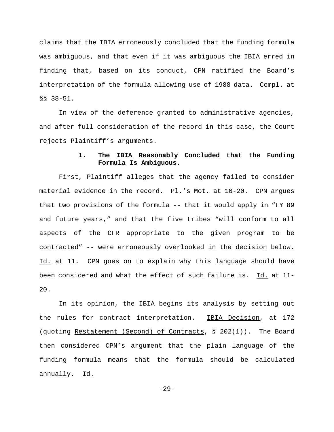claims that the IBIA erroneously concluded that the funding formula was ambiguous, and that even if it was ambiguous the IBIA erred in finding that, based on its conduct, CPN ratified the Board's interpretation of the formula allowing use of 1988 data. Compl. at §§ 38-51.

In view of the deference granted to administrative agencies, and after full consideration of the record in this case, the Court rejects Plaintiff's arguments.

# **1. The IBIA Reasonably Concluded that the Funding Formula Is Ambiguous.**

First, Plaintiff alleges that the agency failed to consider material evidence in the record. Pl.'s Mot. at 10-20. CPN argues that two provisions of the formula -- that it would apply in "FY 89 and future years," and that the five tribes "will conform to all aspects of the CFR appropriate to the given program to be contracted" -- were erroneously overlooked in the decision below. Id. at 11. CPN goes on to explain why this language should have been considered and what the effect of such failure is. Id. at 11-20.

In its opinion, the IBIA begins its analysis by setting out the rules for contract interpretation. IBIA Decision, at 172 (quoting Restatement (Second) of Contracts, § 202(1)). The Board then considered CPN's argument that the plain language of the funding formula means that the formula should be calculated annually. Id.

-29-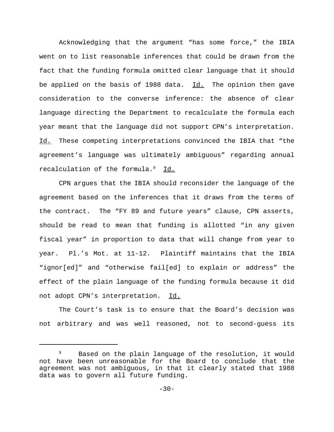Acknowledging that the argument "has some force," the IBIA went on to list reasonable inferences that could be drawn from the fact that the funding formula omitted clear language that it should be applied on the basis of 1988 data. Id. The opinion then gave consideration to the converse inference: the absence of clear language directing the Department to recalculate the formula each year meant that the language did not support CPN's interpretation. Id. These competing interpretations convinced the IBIA that "the agreement's language was ultimately ambiguous" regarding annual recalculation of the formula. $9$  Id.

CPN argues that the IBIA should reconsider the language of the agreement based on the inferences that it draws from the terms of the contract. The "FY 89 and future years" clause, CPN asserts, should be read to mean that funding is allotted "in any given fiscal year" in proportion to data that will change from year to year. Pl.'s Mot. at 11-12. Plaintiff maintains that the IBIA "ignor[ed]" and "otherwise fail[ed] to explain or address" the effect of the plain language of the funding formula because it did not adopt CPN's interpretation. Id.

The Court's task is to ensure that the Board's decision was not arbitrary and was well reasoned, not to second-guess its

<sup>&</sup>lt;sup>9</sup> Based on the plain language of the resolution, it would not have been unreasonable for the Board to conclude that the agreement was not ambiguous, in that it clearly stated that 1988 data was to govern all future funding.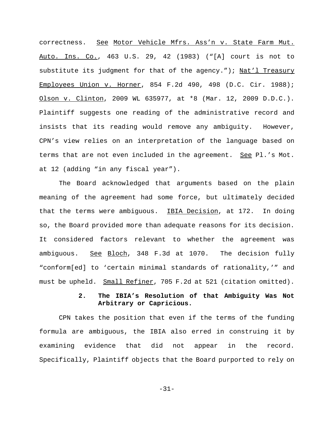correctness. See Motor Vehicle Mfrs. Ass'n v. State Farm Mut. Auto. Ins. Co., 463 U.S. 29, 42 (1983) ("[A] court is not to substitute its judgment for that of the agency."); Nat'l Treasury Employees Union v. Horner, 854 F.2d 490, 498 (D.C. Cir. 1988); Olson v. Clinton, 2009 WL 635977, at \*8 (Mar. 12, 2009 D.D.C.). Plaintiff suggests one reading of the administrative record and insists that its reading would remove any ambiguity. However, CPN's view relies on an interpretation of the language based on terms that are not even included in the agreement. See Pl.'s Mot. at 12 (adding "in any fiscal year").

The Board acknowledged that arguments based on the plain meaning of the agreement had some force, but ultimately decided that the terms were ambiguous. IBIA Decision, at 172. In doing so, the Board provided more than adequate reasons for its decision. It considered factors relevant to whether the agreement was ambiguous. See Bloch, 348 F.3d at 1070. The decision fully "conform[ed] to 'certain minimal standards of rationality,'" and must be upheld. Small Refiner, 705 F.2d at 521 (citation omitted).

# **2. The IBIA's Resolution of that Ambiguity Was Not Arbitrary or Capricious.**

CPN takes the position that even if the terms of the funding formula are ambiguous, the IBIA also erred in construing it by examining evidence that did not appear in the record. Specifically, Plaintiff objects that the Board purported to rely on

-31-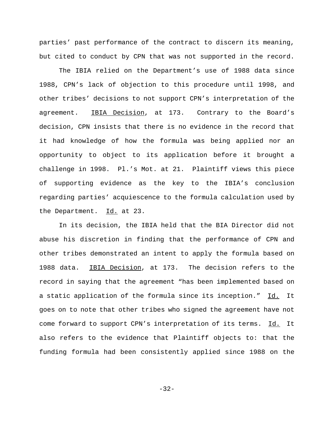parties' past performance of the contract to discern its meaning, but cited to conduct by CPN that was not supported in the record.

The IBIA relied on the Department's use of 1988 data since 1988, CPN's lack of objection to this procedure until 1998, and other tribes' decisions to not support CPN's interpretation of the agreement. IBIA Decision, at 173. Contrary to the Board's decision, CPN insists that there is no evidence in the record that it had knowledge of how the formula was being applied nor an opportunity to object to its application before it brought a challenge in 1998. Pl.'s Mot. at 21. Plaintiff views this piece of supporting evidence as the key to the IBIA's conclusion regarding parties' acquiescence to the formula calculation used by the Department. Id. at 23.

In its decision, the IBIA held that the BIA Director did not abuse his discretion in finding that the performance of CPN and other tribes demonstrated an intent to apply the formula based on 1988 data. IBIA Decision, at 173. The decision refers to the record in saying that the agreement "has been implemented based on a static application of the formula since its inception." Id. It goes on to note that other tribes who signed the agreement have not come forward to support CPN's interpretation of its terms. Id. It also refers to the evidence that Plaintiff objects to: that the funding formula had been consistently applied since 1988 on the

-32-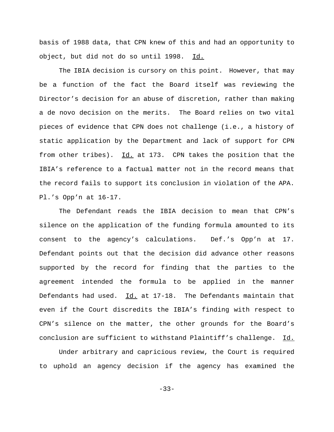basis of 1988 data, that CPN knew of this and had an opportunity to object, but did not do so until 1998. Id.

The IBIA decision is cursory on this point. However, that may be a function of the fact the Board itself was reviewing the Director's decision for an abuse of discretion, rather than making a de novo decision on the merits. The Board relies on two vital pieces of evidence that CPN does not challenge (i.e., a history of static application by the Department and lack of support for CPN from other tribes).  $Id.$  at 173. CPN takes the position that the IBIA's reference to a factual matter not in the record means that the record fails to support its conclusion in violation of the APA. Pl.'s Opp'n at 16-17.

The Defendant reads the IBIA decision to mean that CPN's silence on the application of the funding formula amounted to its consent to the agency's calculations. Def.'s Opp'n at 17. Defendant points out that the decision did advance other reasons supported by the record for finding that the parties to the agreement intended the formula to be applied in the manner Defendants had used.  $Id.$  at  $17-18.$  The Defendants maintain that even if the Court discredits the IBIA's finding with respect to CPN's silence on the matter, the other grounds for the Board's conclusion are sufficient to withstand Plaintiff's challenge. Id.

 Under arbitrary and capricious review, the Court is required to uphold an agency decision if the agency has examined the

-33-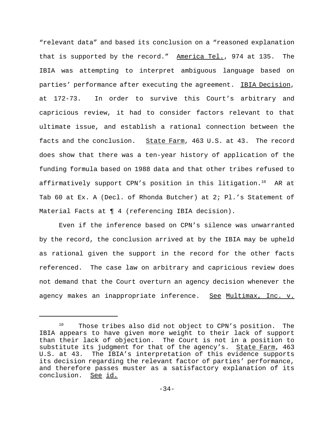"relevant data" and based its conclusion on a "reasoned explanation that is supported by the record." America Tel., 974 at 135. The IBIA was attempting to interpret ambiguous language based on parties' performance after executing the agreement. IBIA Decision, at 172-73. In order to survive this Court's arbitrary and capricious review, it had to consider factors relevant to that ultimate issue, and establish a rational connection between the facts and the conclusion. State Farm, 463 U.S. at 43. The record does show that there was a ten-year history of application of the funding formula based on 1988 data and that other tribes refused to affirmatively support CPN's position in this litigation.<sup>10</sup> AR at Tab 60 at Ex. A (Decl. of Rhonda Butcher) at 2; Pl.'s Statement of Material Facts at ¶ 4 (referencing IBIA decision).

Even if the inference based on CPN's silence was unwarranted by the record, the conclusion arrived at by the IBIA may be upheld as rational given the support in the record for the other facts referenced. The case law on arbitrary and capricious review does not demand that the Court overturn an agency decision whenever the agency makes an inappropriate inference. See Multimax, Inc. v.

<sup>&</sup>lt;sup>10</sup> Those tribes also did not object to CPN's position. The IBIA appears to have given more weight to their lack of support than their lack of objection. The Court is not in a position to substitute its judgment for that of the agency's. State Farm, 463 U.S. at 43. The IBIA's interpretation of this evidence supports its decision regarding the relevant factor of parties' performance, and therefore passes muster as a satisfactory explanation of its conclusion. See id.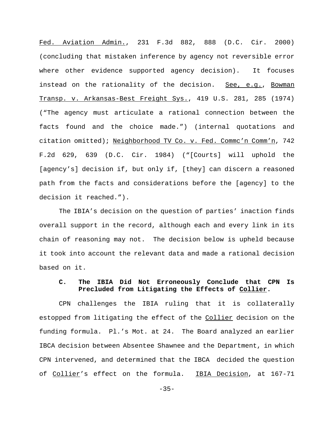Fed. Aviation Admin., 231 F.3d 882, 888 (D.C. Cir. 2000) (concluding that mistaken inference by agency not reversible error where other evidence supported agency decision). It focuses instead on the rationality of the decision. See, e.g., Bowman Transp. v. Arkansas-Best Freight Sys., 419 U.S. 281, 285 (1974) ("The agency must articulate a rational connection between the facts found and the choice made.") (internal quotations and citation omitted); Neighborhood TV Co. v. Fed. Commc'n Comm'n, 742 F.2d 629, 639 (D.C. Cir. 1984) ("[Courts] will uphold the [agency's] decision if, but only if, [they] can discern a reasoned path from the facts and considerations before the [agency] to the decision it reached.").

The IBIA's decision on the question of parties' inaction finds overall support in the record, although each and every link in its chain of reasoning may not. The decision below is upheld because it took into account the relevant data and made a rational decision based on it.

# **C. The IBIA Did Not Erroneously Conclude that CPN Is Precluded from Litigating the Effects of Collier.**

CPN challenges the IBIA ruling that it is collaterally estopped from litigating the effect of the Collier decision on the funding formula. Pl.'s Mot. at 24. The Board analyzed an earlier IBCA decision between Absentee Shawnee and the Department, in which CPN intervened, and determined that the IBCA decided the question of Collier's effect on the formula. IBIA Decision, at 167-71

-35-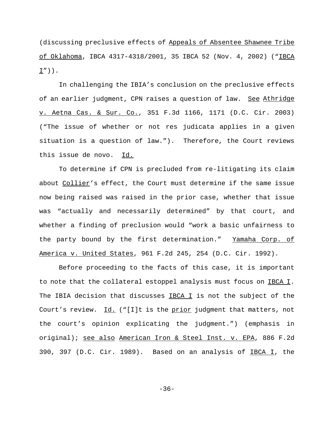(discussing preclusive effects of Appeals of Absentee Shawnee Tribe of Oklahoma, IBCA 4317-4318/2001, 35 IBCA 52 (Nov. 4, 2002) ("IBCA  $\underline{\bot}''$  ) ) .

In challenging the IBIA's conclusion on the preclusive effects of an earlier judgment, CPN raises a question of law. See Athridge v. Aetna Cas. & Sur. Co., 351 F.3d 1166, 1171 (D.C. Cir. 2003) ("The issue of whether or not res judicata applies in a given situation is a question of law."). Therefore, the Court reviews this issue de novo. Id.

To determine if CPN is precluded from re-litigating its claim about Collier's effect, the Court must determine if the same issue now being raised was raised in the prior case, whether that issue was "actually and necessarily determined" by that court, and whether a finding of preclusion would "work a basic unfairness to the party bound by the first determination." Yamaha Corp. of America v. United States, 961 F.2d 245, 254 (D.C. Cir. 1992).

Before proceeding to the facts of this case, it is important to note that the collateral estoppel analysis must focus on IBCA I. The IBIA decision that discusses IBCA I is not the subject of the Court's review. Id. ("[I]t is the prior judgment that matters, not the court's opinion explicating the judgment.") (emphasis in original); see also American Iron & Steel Inst. v. EPA, 886 F.2d 390, 397 (D.C. Cir. 1989). Based on an analysis of <u>IBCA I</u>, the

-36-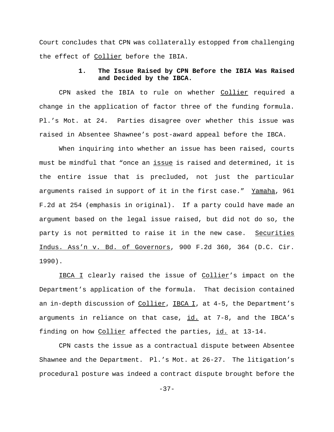Court concludes that CPN was collaterally estopped from challenging the effect of Collier before the IBIA.

# **1. The Issue Raised by CPN Before the IBIA Was Raised and Decided by the IBCA.**

CPN asked the IBIA to rule on whether Collier required a change in the application of factor three of the funding formula. Pl.'s Mot. at 24. Parties disagree over whether this issue was raised in Absentee Shawnee's post-award appeal before the IBCA.

When inquiring into whether an issue has been raised, courts must be mindful that "once an issue is raised and determined, it is the entire issue that is precluded, not just the particular arguments raised in support of it in the first case." Yamaha, 961 F.2d at 254 (emphasis in original). If a party could have made an argument based on the legal issue raised, but did not do so, the party is not permitted to raise it in the new case. Securities Indus. Ass'n v. Bd. of Governors, 900 F.2d 360, 364 (D.C. Cir. 1990).

IBCA I clearly raised the issue of Collier's impact on the Department's application of the formula. That decision contained an in-depth discussion of Collier, IBCA I, at  $4-5$ , the Department's arguments in reliance on that case, id. at 7-8, and the IBCA's finding on how Collier affected the parties, id. at 13-14.

CPN casts the issue as a contractual dispute between Absentee Shawnee and the Department. Pl.'s Mot. at 26-27. The litigation's procedural posture was indeed a contract dispute brought before the

-37-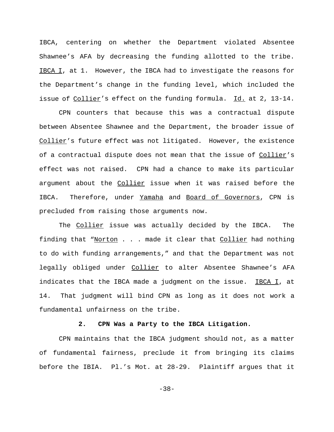IBCA, centering on whether the Department violated Absentee Shawnee's AFA by decreasing the funding allotted to the tribe. IBCA I, at 1. However, the IBCA had to investigate the reasons for the Department's change in the funding level, which included the issue of Collier's effect on the funding formula. Id. at 2, 13-14.

CPN counters that because this was a contractual dispute between Absentee Shawnee and the Department, the broader issue of Collier's future effect was not litigated. However, the existence of a contractual dispute does not mean that the issue of Collier's effect was not raised. CPN had a chance to make its particular argument about the Collier issue when it was raised before the IBCA. Therefore, under Yamaha and Board of Governors, CPN is precluded from raising those arguments now.

The Collier issue was actually decided by the IBCA. The finding that "Norton . . . made it clear that Collier had nothing to do with funding arrangements," and that the Department was not legally obliged under Collier to alter Absentee Shawnee's AFA indicates that the IBCA made a judgment on the issue.  $IBCA I$ , at 14. That judgment will bind CPN as long as it does not work a fundamental unfairness on the tribe.

### **2. CPN Was a Party to the IBCA Litigation.**

CPN maintains that the IBCA judgment should not, as a matter of fundamental fairness, preclude it from bringing its claims before the IBIA. Pl.'s Mot. at 28-29. Plaintiff argues that it

-38-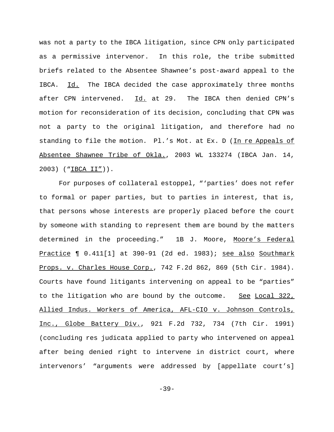was not a party to the IBCA litigation, since CPN only participated as a permissive intervenor. In this role, the tribe submitted briefs related to the Absentee Shawnee's post-award appeal to the IBCA. Id. The IBCA decided the case approximately three months after CPN intervened. Id. at 29. The IBCA then denied CPN's motion for reconsideration of its decision, concluding that CPN was not a party to the original litigation, and therefore had no standing to file the motion. Pl.'s Mot. at Ex. D (In re Appeals of Absentee Shawnee Tribe of Okla., 2003 WL 133274 (IBCA Jan. 14, 2003) ("IBCA II")).

For purposes of collateral estoppel, "'parties' does not refer to formal or paper parties, but to parties in interest, that is, that persons whose interests are properly placed before the court by someone with standing to represent them are bound by the matters determined in the proceeding." 1B J. Moore, Moore's Federal Practice ¶ 0.411[1] at 390-91 (2d ed. 1983); see also Southmark Props. v. Charles House Corp., 742 F.2d 862, 869 (5th Cir. 1984). Courts have found litigants intervening on appeal to be "parties" to the litigation who are bound by the outcome. See Local 322, Allied Indus. Workers of America, AFL-CIO v. Johnson Controls, Inc., Globe Battery Div., 921 F.2d 732, 734 (7th Cir. 1991) (concluding res judicata applied to party who intervened on appeal after being denied right to intervene in district court, where intervenors' "arguments were addressed by [appellate court's]

-39-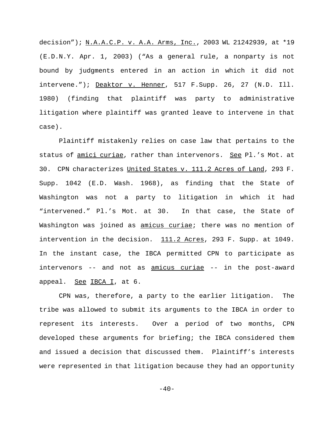decision"); N.A.A.C.P. v. A.A. Arms, Inc., 2003 WL 21242939, at \*19 (E.D.N.Y. Apr. 1, 2003) ("As a general rule, a nonparty is not bound by judgments entered in an action in which it did not intervene."); Deaktor v. Henner, 517 F.Supp. 26, 27 (N.D. Ill. 1980) (finding that plaintiff was party to administrative litigation where plaintiff was granted leave to intervene in that case).

Plaintiff mistakenly relies on case law that pertains to the status of amici curiae, rather than intervenors. See Pl.'s Mot. at 30. CPN characterizes United States v. 111.2 Acres of Land, 293 F. Supp. 1042 (E.D. Wash. 1968), as finding that the State of Washington was not a party to litigation in which it had "intervened." Pl.'s Mot. at 30. In that case, the State of Washington was joined as amicus curiae; there was no mention of intervention in the decision.  $111.2$  Acres, 293 F. Supp. at 1049. In the instant case, the IBCA permitted CPN to participate as intervenors -- and not as amicus curiae -- in the post-award appeal. See IBCA I, at 6.

CPN was, therefore, a party to the earlier litigation. The tribe was allowed to submit its arguments to the IBCA in order to represent its interests. Over a period of two months, CPN developed these arguments for briefing; the IBCA considered them and issued a decision that discussed them. Plaintiff's interests were represented in that litigation because they had an opportunity

 $-40-$